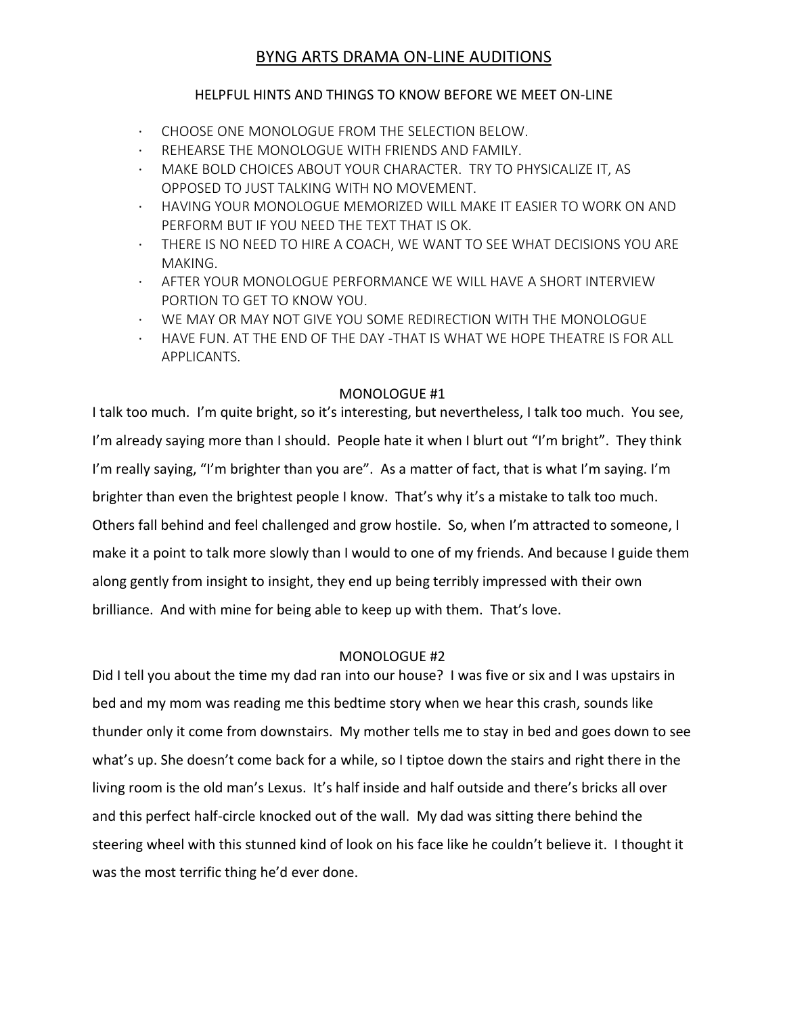# BYNG ARTS DRAMA ON-LINE AUDITIONS

## HELPFUL HINTS AND THINGS TO KNOW BEFORE WE MEET ON-LINE

- · CHOOSE ONE MONOLOGUE FROM THE SELECTION BELOW.
- REHEARSE THE MONOLOGUE WITH FRIENDS AND FAMILY.
- MAKE BOLD CHOICES ABOUT YOUR CHARACTER. TRY TO PHYSICALIZE IT, AS OPPOSED TO JUST TALKING WITH NO MOVEMENT.
- · HAVING YOUR MONOLOGUE MEMORIZED WILL MAKE IT EASIER TO WORK ON AND PERFORM BUT IF YOU NEED THE TEXT THAT IS OK.
- · THERE IS NO NEED TO HIRE A COACH, WE WANT TO SEE WHAT DECISIONS YOU ARE MAKING.
- · AFTER YOUR MONOLOGUE PERFORMANCE WE WILL HAVE A SHORT INTERVIEW PORTION TO GET TO KNOW YOU.
- · WE MAY OR MAY NOT GIVE YOU SOME REDIRECTION WITH THE MONOLOGUE
- · HAVE FUN. AT THE END OF THE DAY -THAT IS WHAT WE HOPE THEATRE IS FOR ALL APPLICANTS.

### MONOLOGUE #1

I talk too much. I'm quite bright, so it's interesting, but nevertheless, I talk too much. You see, I'm already saying more than I should. People hate it when I blurt out "I'm bright". They think I'm really saying, "I'm brighter than you are". As a matter of fact, that is what I'm saying. I'm brighter than even the brightest people I know. That's why it's a mistake to talk too much. Others fall behind and feel challenged and grow hostile. So, when I'm attracted to someone, I make it a point to talk more slowly than I would to one of my friends. And because I guide them along gently from insight to insight, they end up being terribly impressed with their own brilliance. And with mine for being able to keep up with them. That's love.

### MONOLOGUE #2

Did I tell you about the time my dad ran into our house? I was five or six and I was upstairs in bed and my mom was reading me this bedtime story when we hear this crash, sounds like thunder only it come from downstairs. My mother tells me to stay in bed and goes down to see what's up. She doesn't come back for a while, so I tiptoe down the stairs and right there in the living room is the old man's Lexus. It's half inside and half outside and there's bricks all over and this perfect half-circle knocked out of the wall. My dad was sitting there behind the steering wheel with this stunned kind of look on his face like he couldn't believe it. I thought it was the most terrific thing he'd ever done.